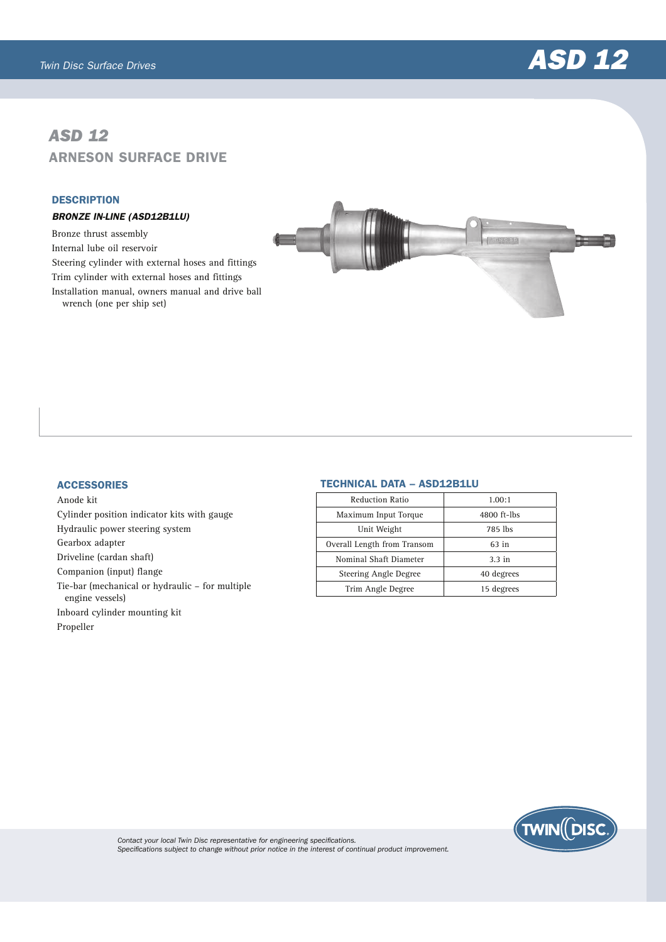

# *ASD 12* ARNESON SURFACE DRIVE

#### **DESCRIPTION**

## BRONZE IN-LINE (ASD12B1LU)

Bronze thrust assembly Internal lube oil reservoir Steering cylinder with external hoses and fittings Trim cylinder with external hoses and fittings Installation manual, owners manual and drive ball wrench (one per ship set)



## **ACCESSORIES**

Anode kit Cylinder position indicator kits with gauge Hydraulic power steering system Gearbox adapter Driveline (cardan shaft) Companion (input) flange Tie-bar (mechanical or hydraulic – for multiple engine vessels) Inboard cylinder mounting kit Propeller

## TECHNICAL DATA – ASD12B1LU

| <b>Reduction Ratio</b>      | 1.00:1           |
|-----------------------------|------------------|
| Maximum Input Torque        | 4800 ft-lbs      |
| Unit Weight                 | 785 lbs          |
| Overall Length from Transom | $63$ in          |
| Nominal Shaft Diameter      | $3.3 \text{ in}$ |
| Steering Angle Degree       | 40 degrees       |
| Trim Angle Degree           | 15 degrees       |
|                             |                  |



*Contact your local Twin Disc representative for engineering specifications. Specifications subject to change without prior notice in the interest of continual product improvement.*